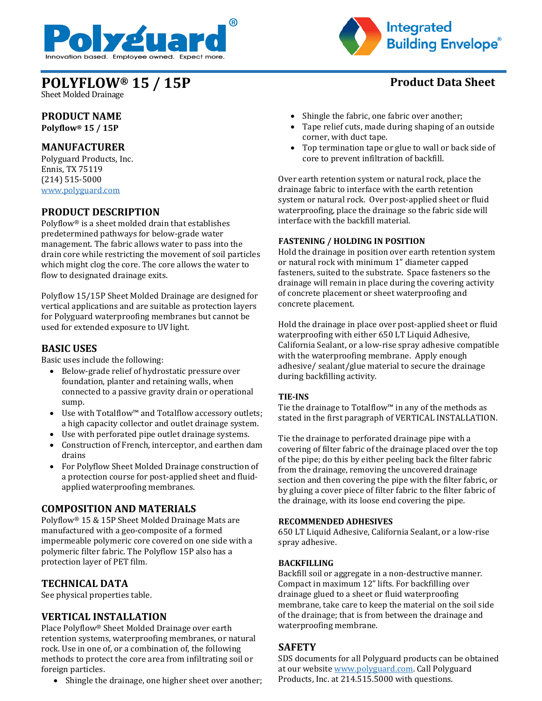



# **POLYFLOW® 15 / 15P Product Data Sheet**

Sheet Molded Drainage

#### **PRODUCT NAME Polyflow® 15 / 15P**

# **MANUFACTURER**

Polyguard Products, Inc. Ennis, TX 75119 (214) 515-5000 [www.polyguard.com](http://www.polyguard.com/)

# **PRODUCT DESCRIPTION**

Polyflow® is a sheet molded drain that establishes predetermined pathways for below-grade water management. The fabric allows water to pass into the drain core while restricting the movement of soil particles which might clog the core. The core allows the water to flow to designated drainage exits.

Polyflow 15/15P Sheet Molded Drainage are designed for vertical applications and are suitable as protection layers for Polyguard waterproofing membranes but cannot be used for extended exposure to UV light.

# **BASIC USES**

Basic uses include the following:

- Below-grade relief of hydrostatic pressure over foundation, planter and retaining walls, when connected to a passive gravity drain or operational sump.
- Use with Totalflow™ and Totalflow accessory outlets; a high capacity collector and outlet drainage system.
- Use with perforated pipe outlet drainage systems.
- Construction of French, interceptor, and earthen dam drains
- For Polyflow Sheet Molded Drainage construction of a protection course for post-applied sheet and fluidapplied waterproofing membranes.

# **COMPOSITION AND MATERIALS**

Polyflow® 15 & 15P Sheet Molded Drainage Mats are manufactured with a geo-composite of a formed impermeable polymeric core covered on one side with a polymeric filter fabric. The Polyflow 15P also has a protection layer of PET film.

### **TECHNICAL DATA**

See physical properties table.

### **VERTICAL INSTALLATION**

Place Polyflow® Sheet Molded Drainage over earth retention systems, waterproofing membranes, or natural rock. Use in one of, or a combination of, the following methods to protect the core area from infiltrating soil or foreign particles.

• Shingle the drainage, one higher sheet over another;

- Shingle the fabric, one fabric over another;
- Tape relief cuts, made during shaping of an outside corner, with duct tape.
- Top termination tape or glue to wall or back side of core to prevent infiltration of backfill.

Over earth retention system or natural rock, place the drainage fabric to interface with the earth retention system or natural rock. Over post-applied sheet or fluid waterproofing, place the drainage so the fabric side will interface with the backfill material.

#### **FASTENING / HOLDING IN POSITION**

Hold the drainage in position over earth retention system or natural rock with minimum 1" diameter capped fasteners, suited to the substrate. Space fasteners so the drainage will remain in place during the covering activity of concrete placement or sheet waterproofing and concrete placement.

Hold the drainage in place over post-applied sheet or fluid waterproofing with either 650 LT Liquid Adhesive, California Sealant, or a low-rise spray adhesive compatible with the waterproofing membrane. Apply enough adhesive/ sealant/glue material to secure the drainage during backfilling activity.

#### **TIE-INS**

Tie the drainage to Totalflow™ in any of the methods as stated in the first paragraph of VERTICAL INSTALLATION.

Tie the drainage to perforated drainage pipe with a covering of filter fabric of the drainage placed over the top of the pipe; do this by either peeling back the filter fabric from the drainage, removing the uncovered drainage section and then covering the pipe with the filter fabric, or by gluing a cover piece of filter fabric to the filter fabric of the drainage, with its loose end covering the pipe.

#### **RECOMMENDED ADHESIVES**

650 LT Liquid Adhesive, California Sealant, or a low-rise spray adhesive.

#### **BACKFILLING**

Backfill soil or aggregate in a non-destructive manner. Compact in maximum 12" lifts. For backfilling over drainage glued to a sheet or fluid waterproofing membrane, take care to keep the material on the soil side of the drainage; that is from between the drainage and waterproofing membrane.

### **SAFETY**

SDS documents for all Polyguard products can be obtained at our website [www.polyguard.com.](http://www.polyguard.com/) Call Polyguard Products, Inc. at 214.515.5000 with questions.